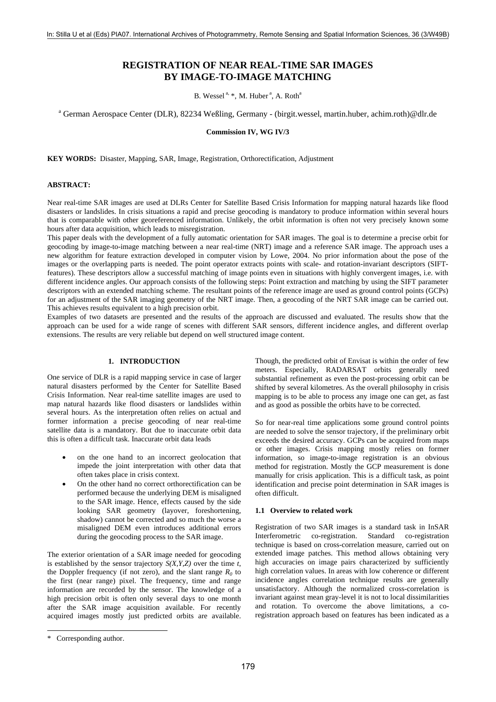# **REGISTRATION OF NEAR REAL-TIME SAR IMAGES BY IMAGE-TO-IMAGE MATCHING**

B. Wessel<sup> $a, *$ </sup>, M. Huber<sup>a</sup>, A. Roth<sup>a</sup>

<sup>a</sup> German Aerospace Center (DLR), 82234 Weßling, Germany - (birgit.wessel, martin.huber, achim.roth)@dlr.de

**Commission IV, WG IV/3** 

**KEY WORDS:** Disaster, Mapping, SAR, Image, Registration, Orthorectification, Adjustment

## **ABSTRACT:**

Near real-time SAR images are used at DLRs Center for Satellite Based Crisis Information for mapping natural hazards like flood disasters or landslides. In crisis situations a rapid and precise geocoding is mandatory to produce information within several hours that is comparable with other georeferenced information. Unlikely, the orbit information is often not very precisely known some hours after data acquisition, which leads to misregistration.

This paper deals with the development of a fully automatic orientation for SAR images. The goal is to determine a precise orbit for geocoding by image-to-image matching between a near real-time (NRT) image and a reference SAR image. The approach uses a new algorithm for feature extraction developed in computer vision by Lowe, 2004. No prior information about the pose of the images or the overlapping parts is needed. The point operator extracts points with scale- and rotation-invariant descriptors (SIFTfeatures). These descriptors allow a successful matching of image points even in situations with highly convergent images, i.e. with different incidence angles. Our approach consists of the following steps: Point extraction and matching by using the SIFT parameter descriptors with an extended matching scheme. The resultant points of the reference image are used as ground control points (GCPs) for an adjustment of the SAR imaging geometry of the NRT image. Then, a geocoding of the NRT SAR image can be carried out. This achieves results equivalent to a high precision orbit.

Examples of two datasets are presented and the results of the approach are discussed and evaluated. The results show that the approach can be used for a wide range of scenes with different SAR sensors, different incidence angles, and different overlap extensions. The results are very reliable but depend on well structured image content.

## **1. INTRODUCTION**

One service of DLR is a rapid mapping service in case of larger natural disasters performed by the Center for Satellite Based Crisis Information. Near real-time satellite images are used to map natural hazards like flood disasters or landslides within several hours. As the interpretation often relies on actual and former information a precise geocoding of near real-time satellite data is a mandatory. But due to inaccurate orbit data this is often a difficult task. Inaccurate orbit data leads

- on the one hand to an incorrect geolocation that impede the joint interpretation with other data that often takes place in crisis context.
- On the other hand no correct orthorectification can be performed because the underlying DEM is misaligned to the SAR image. Hence, effects caused by the side looking SAR geometry (layover, foreshortening, shadow) cannot be corrected and so much the worse a misaligned DEM even introduces additional errors during the geocoding process to the SAR image.

The exterior orientation of a SAR image needed for geocoding is established by the sensor trajectory *S(X,Y,Z)* over the time *t*, the Doppler frequency (if not zero), and the slant range  $R_0$  to the first (near range) pixel. The frequency, time and range information are recorded by the sensor. The knowledge of a high precision orbit is often only several days to one month after the SAR image acquisition available. For recently acquired images mostly just predicted orbits are available.

 $\overline{a}$ 

Though, the predicted orbit of Envisat is within the order of few meters. Especially, RADARSAT orbits generally need substantial refinement as even the post-processing orbit can be shifted by several kilometres. As the overall philosophy in crisis mapping is to be able to process any image one can get, as fast and as good as possible the orbits have to be corrected.

So for near-real time applications some ground control points are needed to solve the sensor trajectory, if the preliminary orbit exceeds the desired accuracy. GCPs can be acquired from maps or other images. Crisis mapping mostly relies on former information, so image-to-image registration is an obvious method for registration. Mostly the GCP measurement is done manually for crisis application. This is a difficult task, as point identification and precise point determination in SAR images is often difficult.

#### **1.1 Overview to related work**

Registration of two SAR images is a standard task in InSAR Interferometric co-registration. Standard co-registration technique is based on cross-correlation measure, carried out on extended image patches. This method allows obtaining very high accuracies on image pairs characterized by sufficiently high correlation values. In areas with low coherence or different incidence angles correlation technique results are generally unsatisfactory. Although the normalized cross-correlation is invariant against mean gray-level it is not to local dissimilarities and rotation. To overcome the above limitations, a coregistration approach based on features has been indicated as a

<span id="page-0-0"></span><sup>\*</sup> Corresponding author.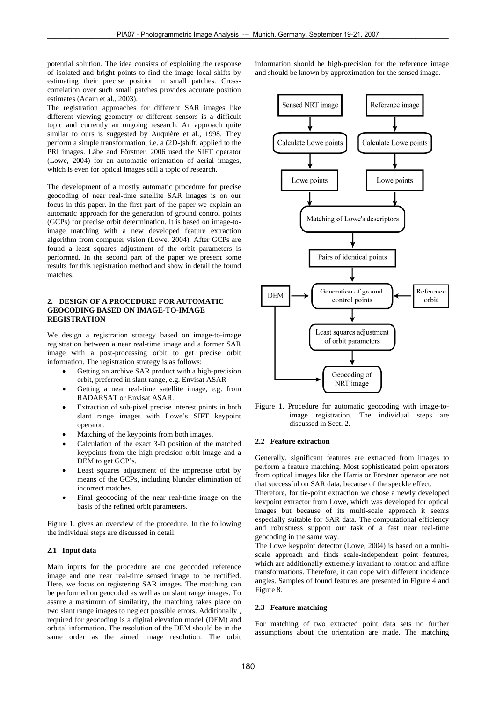potential solution. The idea consists of exploiting the response of isolated and bright points to find the image local shifts by estimating their precise position in small patches. Crosscorrelation over such small patches provides accurate position estimates (Adam et al., 2003).

The registration approaches for different SAR images like different viewing geometry or different sensors is a difficult topic and currently an ongoing research. An approach quite similar to ours is suggested by Auquière et al., 1998. They perform a simple transformation, i.e. a (2D-)shift, applied to the PRI images. Läbe and Förstner, 2006 used the SIFT operator (Lowe, 2004) for an automatic orientation of aerial images, which is even for optical images still a topic of research.

The development of a mostly automatic procedure for precise geocoding of near real-time satellite SAR images is on our focus in this paper. In the first part of the paper we explain an automatic approach for the generation of ground control points (GCPs) for precise orbit determination. It is based on image-toimage matching with a new developed feature extraction algorithm from computer vision (Lowe, 2004). After GCPs are found a least squares adjustment of the orbit parameters is performed. In the second part of the paper we present some results for this registration method and show in detail the found matches.

## **2. DESIGN OF A PROCEDURE FOR AUTOMATIC GEOCODING BASED ON IMAGE-TO-IMAGE REGISTRATION**

We design a registration strategy based on image-to-image registration between a near real-time image and a former SAR image with a post-processing orbit to get precise orbit information. The registration strategy is as follows:

- Getting an archive SAR product with a high-precision orbit, preferred in slant range, e.g. Envisat ASAR
- Getting a near real-time satellite image, e.g. from RADARSAT or Envisat ASAR.
- Extraction of sub-pixel precise interest points in both slant range images with Lowe's SIFT keypoint operator.
- Matching of the keypoints from both images.
- Calculation of the exact 3-D position of the matched keypoints from the high-precision orbit image and a DEM to get GCP's.
- Least squares adjustment of the imprecise orbit by means of the GCPs, including blunder elimination of incorrect matches.
- Final geocoding of the near real-time image on the basis of the refined orbit parameters.

Figure 1. gives an overview of the procedure. In the following the individual steps are discussed in detail.

## **2.1 Input data**

Main inputs for the procedure are one geocoded reference image and one near real-time sensed image to be rectified. Here, we focus on registering SAR images. The matching can be performed on geocoded as well as on slant range images. To assure a maximum of similarity, the matching takes place on two slant range images to neglect possible errors. Additionally , required for geocoding is a digital elevation model (DEM) and orbital information. The resolution of the DEM should be in the same order as the aimed image resolution. The orbit

information should be high-precision for the reference image and should be known by approximation for the sensed image.



Figure 1. Procedure for automatic geocoding with image-toimage registration. The individual steps are discussed in Sect. 2.

#### **2.2 Feature extraction**

Generally, significant features are extracted from images to perform a feature matching. Most sophisticated point operators from optical images like the Harris or Förstner operator are not that successful on SAR data, because of the speckle effect.

Therefore, for tie-point extraction we chose a newly developed keypoint extractor from Lowe, which was developed for optical images but because of its multi-scale approach it seems especially suitable for SAR data. The computational efficiency and robustness support our task of a fast near real-time geocoding in the same way.

The Lowe keypoint detector (Lowe, 2004) is based on a multiscale approach and finds scale-independent point features, which are additionally extremely invariant to rotation and affine transformations. Therefore, it can cope with different incidence angles. Samples of found features are presented in Figure 4 and Figure 8.

#### **2.3 Feature matching**

For matching of two extracted point data sets no further assumptions about the orientation are made. The matching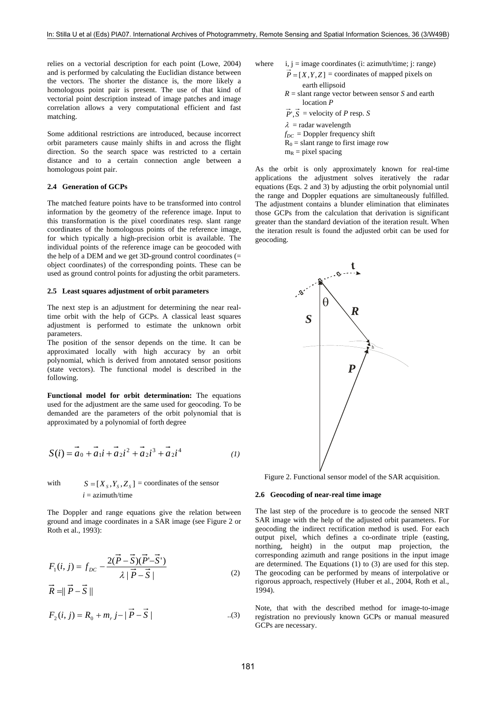relies on a vectorial description for each point (Lowe, 2004) and is performed by calculating the Euclidian distance between the vectors. The shorter the distance is, the more likely a homologous point pair is present. The use of that kind of vectorial point description instead of image patches and image correlation allows a very computational efficient and fast matching.

Some additional restrictions are introduced, because incorrect orbit parameters cause mainly shifts in and across the flight direction. So the search space was restricted to a certain distance and to a certain connection angle between a homologous point pair.

#### **2.4 Generation of GCPs**

The matched feature points have to be transformed into control information by the geometry of the reference image. Input to this transformation is the pixel coordinates resp. slant range coordinates of the homologous points of the reference image, for which typically a high-precision orbit is available. The individual points of the reference image can be geocoded with the help of a DEM and we get 3D-ground control coordinates (= object coordinates) of the corresponding points. These can be used as ground control points for adjusting the orbit parameters.

#### **2.5 Least squares adjustment of orbit parameters**

The next step is an adjustment for determining the near realtime orbit with the help of GCPs. A classical least squares adjustment is performed to estimate the unknown orbit parameters.

The position of the sensor depends on the time. It can be approximated locally with high accuracy by an orbit polynomial, which is derived from annotated sensor positions (state vectors). The functional model is described in the following.

**Functional model for orbit determination:** The equations used for the adjustment are the same used for geocoding. To be demanded are the parameters of the orbit polynomial that is approximated by a polynomial of forth degree

$$
S(i) = \vec{a}_0 + \vec{a}_1 i + \vec{a}_2 i^2 + \vec{a}_2 i^3 + \vec{a}_2 i^4
$$
 (1)

with  $S = [X_s, Y_s, Z_s] =$  coordinates of the sensor  $i =$  azimuth/time

The Doppler and range equations give the relation between ground and image coordinates in a SAR image (see Figure 2 or Roth et al., 1993):

$$
F_1(i, j) = f_{DC} - \frac{2(\vec{P} - \vec{S})(\vec{P}' - \vec{S}')}{\lambda |\vec{P} - \vec{S}|}
$$
  

$$
\vec{R} = ||\vec{P} - \vec{S}||
$$
 (2)

$$
F_2(i, j) = R_0 + m_r j - |\vec{P} - \vec{S}|
$$
...(3)

where   
i, j = image coordinates (i: azimuth/time; j: range)  

$$
\vec{P} = [X, Y, Z] = coordinates of mapped pixels on
$$

 earth ellipsoid *R* = slant range vector between sensor *S* and earth location *P*  $\vec{P}$ ,  $\vec{S}$  = velocity of *P* resp. *S*  $\lambda$  = radar wavelength  $f_{DC}$  = Doppler frequency shift  $R_0$  = slant range to first image row  $m_R$  = pixel spacing

As the orbit is only approximately known for real-time applications the adjustment solves iteratively the radar equations (Eqs. 2 and 3) by adjusting the orbit polynomial until the range and Doppler equations are simultaneously fulfilled. The adjustment contains a blunder elimination that eliminates those GCPs from the calculation that derivation is significant greater than the standard deviation of the iteration result. When the iteration result is found the adjusted orbit can be used for geocoding.



Figure 2. Functional sensor model of the SAR acquisition.

#### **2.6 Geocoding of near-real time image**

The last step of the procedure is to geocode the sensed NRT SAR image with the help of the adjusted orbit parameters. For geocoding the indirect rectification method is used. For each output pixel, which defines a co-ordinate triple (easting, northing, height) in the output map projection, the corresponding azimuth and range positions in the input image are determined. The Equations (1) to (3) are used for this step. The geocoding can be performed by means of interpolative or rigorous approach, respectively (Huber et al., 2004, Roth et al., 1994).

Note, that with the described method for image-to-image registration no previously known GCPs or manual measured GCPs are necessary.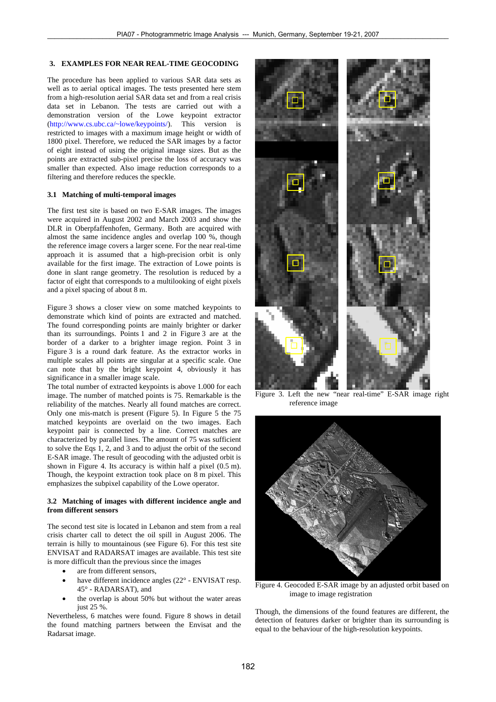## **3. EXAMPLES FOR NEAR REAL-TIME GEOCODING**

The procedure has been applied to various SAR data sets as well as to aerial optical images. The tests presented here stem from a high-resolution aerial SAR data set and from a real crisis data set in Lebanon. The tests are carried out with a demonstration version of the Lowe keypoint extractor ([http://www.cs.ubc.ca/~lowe/keypoints/](http://www.cs.ubc.ca/%7Elowe/keypoints/)). This version is restricted to images with a maximum image height or width of 1800 pixel. Therefore, we reduced the SAR images by a factor of eight instead of using the original image sizes. But as the points are extracted sub-pixel precise the loss of accuracy was smaller than expected. Also image reduction corresponds to a filtering and therefore reduces the speckle.

#### **3.1 Matching of multi-temporal images**

The first test site is based on two E-SAR images. The images were acquired in August 2002 and March 2003 and show the DLR in Oberpfaffenhofen, Germany. Both are acquired with almost the same incidence angles and overlap 100 %, though the reference image covers a larger scene. For the near real-time approach it is assumed that a high-precision orbit is only available for the first image. The extraction of Lowe points is done in slant range geometry. The resolution is reduced by a factor of eight that corresponds to a multilooking of eight pixels and a pixel spacing of about 8 m.

Figure 3 shows a closer view on some matched keypoints to demonstrate which kind of points are extracted and matched. The found corresponding points are mainly brighter or darker than its surroundings. Points 1 and 2 in Figure 3 are at the border of a darker to a brighter image region. Point 3 in Figure 3 is a round dark feature. As the extractor works in multiple scales all points are singular at a specific scale. One can note that by the bright keypoint 4, obviously it has significance in a smaller image scale.

The total number of extracted keypoints is above 1.000 for each image. The number of matched points is 75. Remarkable is the reliability of the matches. Nearly all found matches are correct. Only one mis-match is present (Figure 5). In Figure 5 the 75 matched keypoints are overlaid on the two images. Each keypoint pair is connected by a line. Correct matches are characterized by parallel lines. The amount of 75 was sufficient to solve the Eqs 1, 2, and 3 and to adjust the orbit of the second E-SAR image. The result of geocoding with the adjusted orbit is shown in Figure 4. Its accuracy is within half a pixel (0.5 m). Though, the keypoint extraction took place on 8 m pixel. This [emphasizes](http://dict.leo.org/ende?lp=ende&p=/gQPU.&search=emphasize) the subpixel capability of the Lowe operator.

## **3.2 Matching of images with different incidence angle and from different sensors**

The second test site is located in Lebanon and stem from a real crisis charter call to detect the oil spill in August 2006. The terrain is hilly to mountainous (see Figure 6). For this test site ENVISAT and RADARSAT images are available. This test site is more difficult than the previous since the images

- are from different sensors.
- have different incidence angles (22° ENVISAT resp.
- the overlap is about 50% but without the water areas just 25 %. Though, the dimensions of the found features are different, the

Nevertheless, 6 matches were found. Figure 8 shows in detail the found matching partners between the Envisat and the Radarsat image.



Figure 3. Left the new "near real-time" E-SAR image right reference image



 $45^\circ$  - RADARSAT), and Figure 4. Geocoded E-SAR image by an adjusted orbit based on image to image registration

detection of features darker or brighter than its surrounding is equal to the behaviour of the high-resolution keypoints.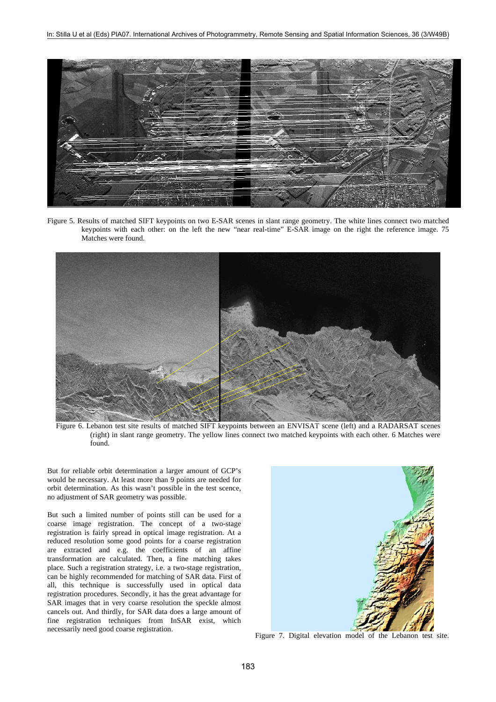

Figure 5. Results of matched SIFT keypoints on two E-SAR scenes in slant range geometry. The white lines connect two matched keypoints with each other: on the left the new "near real-time" E-SAR image on the right the reference image. 75 Matches were found.



Figure 6. Lebanon test site results of matched SIFT keypoints between an ENVISAT scene (left) and a RADARSAT scenes (right) in slant range geometry. The yellow lines connect two matched keypoints with each other. 6 Matches were found.

But for reliable orbit determination a larger amount of GCP's would be necessary. At least more than 9 points are needed for orbit determination. As this wasn't possible in the test scence, no adjustment of SAR geometry was possible.

But such a limited number of points still can be used for a coarse image registration. The concept of a two-stage registration is fairly spread in optical image registration. At a reduced resolution some good points for a coarse registration are extracted and e.g. the coefficients of an affine transformation are calculated. Then, a fine matching takes place. Such a registration strategy, i.e. a two-stage registration, can be highly recommended for matching of SAR data. First of all, this technique is successfully used in optical data registration procedures. Secondly, it has the great advantage for SAR images that in very coarse resolution the speckle almost cancels out. And thirdly, for SAR data does a large amount of fine registration techniques from InSAR exist, which necessarily need good coarse registration. Figure 7. Digital elevation model of the Lebanon test site.